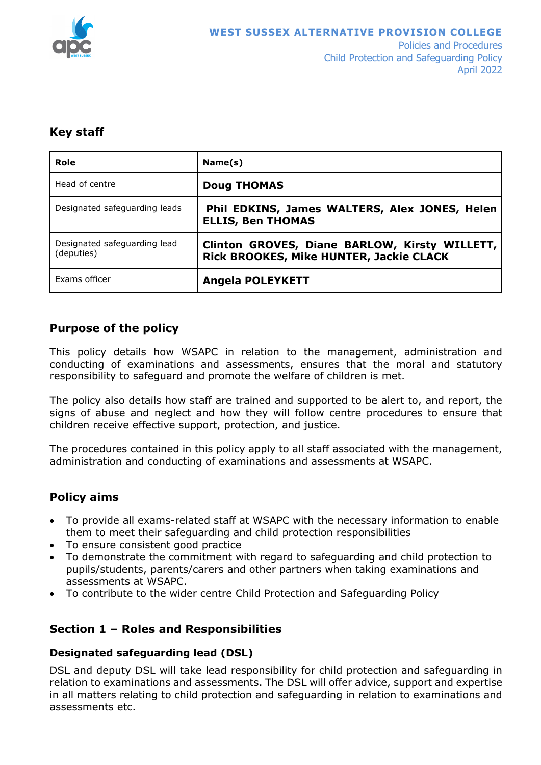

Policies and Procedures Child Protection and Safeguarding Policy April 2022

### **Key staff**

| Role                                       | Name(s)                                                                                  |
|--------------------------------------------|------------------------------------------------------------------------------------------|
| Head of centre                             | <b>Doug THOMAS</b>                                                                       |
| Designated safeguarding leads              | Phil EDKINS, James WALTERS, Alex JONES, Helen<br><b>ELLIS, Ben THOMAS</b>                |
| Designated safeguarding lead<br>(deputies) | Clinton GROVES, Diane BARLOW, Kirsty WILLETT,<br>Rick BROOKES, Mike HUNTER, Jackie CLACK |
| Exams officer                              | <b>Angela POLEYKETT</b>                                                                  |

# **Purpose of the policy**

This policy details how WSAPC in relation to the management, administration and conducting of examinations and assessments, ensures that the moral and statutory responsibility to safeguard and promote the welfare of children is met.

The policy also details how staff are trained and supported to be alert to, and report, the signs of abuse and neglect and how they will follow centre procedures to ensure that children receive effective support, protection, and justice.

The procedures contained in this policy apply to all staff associated with the management, administration and conducting of examinations and assessments at WSAPC.

# **Policy aims**

- To provide all exams-related staff at WSAPC with the necessary information to enable them to meet their safeguarding and child protection responsibilities
- To ensure consistent good practice
- To demonstrate the commitment with regard to safeguarding and child protection to pupils/students, parents/carers and other partners when taking examinations and assessments at WSAPC.
- To contribute to the wider centre Child Protection and Safeguarding Policy

### **Section 1 – Roles and Responsibilities**

#### **Designated safeguarding lead (DSL)**

DSL and deputy DSL will take lead responsibility for child protection and safeguarding in relation to examinations and assessments. The DSL will offer advice, support and expertise in all matters relating to child protection and safeguarding in relation to examinations and assessments etc.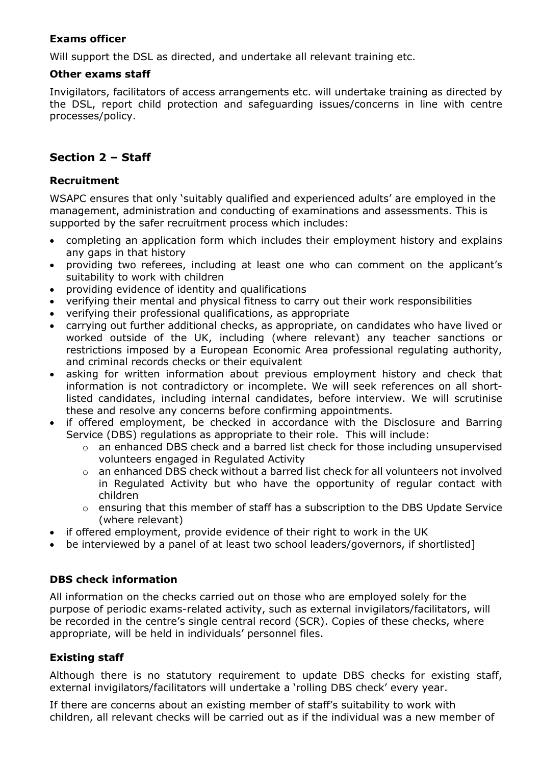### **Exams officer**

Will support the DSL as directed, and undertake all relevant training etc.

#### **Other exams staff**

Invigilators, facilitators of access arrangements etc. will undertake training as directed by the DSL, report child protection and safeguarding issues/concerns in line with centre processes/policy.

### **Section 2 – Staff**

#### **Recruitment**

WSAPC ensures that only 'suitably qualified and experienced adults' are employed in the management, administration and conducting of examinations and assessments. This is supported by the safer recruitment process which includes:

- completing an application form which includes their employment history and explains any gaps in that history
- providing two referees, including at least one who can comment on the applicant's suitability to work with children
- providing evidence of identity and qualifications
- verifying their mental and physical fitness to carry out their work responsibilities
- verifying their professional qualifications, as appropriate
- carrying out further additional checks, as appropriate, on candidates who have lived or worked outside of the UK, including (where relevant) any teacher sanctions or restrictions imposed by a European Economic Area professional regulating authority, and criminal records checks or their equivalent
- asking for written information about previous employment history and check that information is not contradictory or incomplete. We will seek references on all shortlisted candidates, including internal candidates, before interview. We will scrutinise these and resolve any concerns before confirming appointments.
- if offered employment, be checked in accordance with the Disclosure and Barring Service (DBS) regulations as appropriate to their role. This will include:
	- o an enhanced DBS check and a barred list check for those including unsupervised volunteers engaged in Regulated Activity
	- $\circ$  an enhanced DBS check without a barred list check for all volunteers not involved in Regulated Activity but who have the opportunity of regular contact with children
	- o ensuring that this member of staff has a subscription to the DBS Update Service (where relevant)
- if offered employment, provide evidence of their right to work in the UK
- be interviewed by a panel of at least two school leaders/governors, if shortlisted]

#### **DBS check information**

All information on the checks carried out on those who are employed solely for the purpose of periodic exams-related activity, such as external invigilators/facilitators, will be recorded in the centre's single central record (SCR). Copies of these checks, where appropriate, will be held in individuals' personnel files.

#### **Existing staff**

Although there is no statutory requirement to update DBS checks for existing staff, external invigilators/facilitators will undertake a 'rolling DBS check' every year.

If there are concerns about an existing member of staff's suitability to work with children, all relevant checks will be carried out as if the individual was a new member of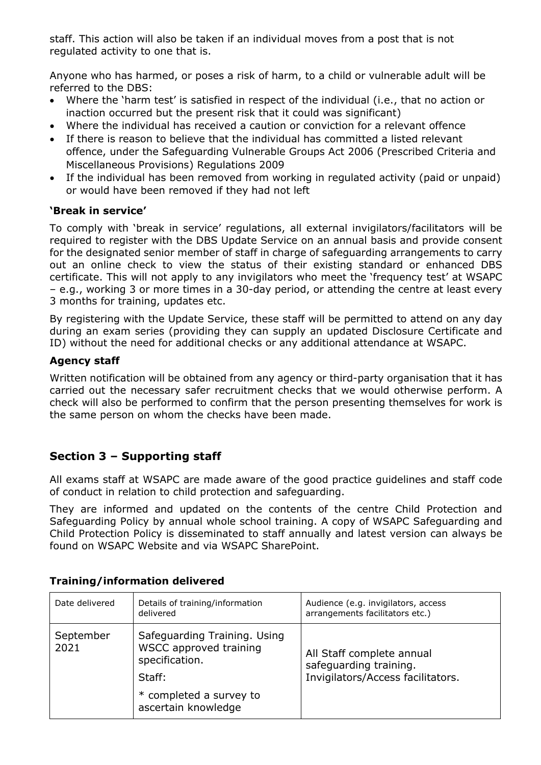staff. This action will also be taken if an individual moves from a post that is not regulated activity to one that is.

Anyone who has harmed, or poses a risk of harm, to a child or vulnerable adult will be referred to the DBS:

- Where the 'harm test' is satisfied in respect of the individual (i.e., that no action or inaction occurred but the present risk that it could was significant)
- Where the individual has received a caution or conviction for a relevant offence
- If there is reason to believe that the individual has committed a listed relevant offence, under the Safeguarding Vulnerable Groups Act 2006 (Prescribed Criteria and Miscellaneous Provisions) Regulations 2009
- If the individual has been removed from working in regulated activity (paid or unpaid) or would have been removed if they had not left

### **'Break in service'**

To comply with 'break in service' regulations, all external invigilators/facilitators will be required to register with the DBS Update Service on an annual basis and provide consent for the designated senior member of staff in charge of safeguarding arrangements to carry out an online check to view the status of their existing standard or enhanced DBS certificate. This will not apply to any invigilators who meet the 'frequency test' at WSAPC – e.g., working 3 or more times in a 30-day period, or attending the centre at least every 3 months for training, updates etc.

By registering with the Update Service, these staff will be permitted to attend on any day during an exam series (providing they can supply an updated Disclosure Certificate and ID) without the need for additional checks or any additional attendance at WSAPC.

### **Agency staff**

Written notification will be obtained from any agency or third-party organisation that it has carried out the necessary safer recruitment checks that we would otherwise perform. A check will also be performed to confirm that the person presenting themselves for work is the same person on whom the checks have been made.

# **Section 3 – Supporting staff**

All exams staff at WSAPC are made aware of the good practice guidelines and staff code of conduct in relation to child protection and safeguarding.

They are informed and updated on the contents of the centre Child Protection and Safeguarding Policy by annual whole school training. A copy of WSAPC Safeguarding and Child Protection Policy is disseminated to staff annually and latest version can always be found on WSAPC Website and via WSAPC SharePoint.

| Date delivered    | Details of training/information<br>delivered                                                                                         | Audience (e.g. invigilators, access<br>arrangements facilitators etc.)                   |
|-------------------|--------------------------------------------------------------------------------------------------------------------------------------|------------------------------------------------------------------------------------------|
| September<br>2021 | Safeguarding Training. Using<br>WSCC approved training<br>specification.<br>Staff:<br>* completed a survey to<br>ascertain knowledge | All Staff complete annual<br>safeguarding training.<br>Invigilators/Access facilitators. |

### **Training/information delivered**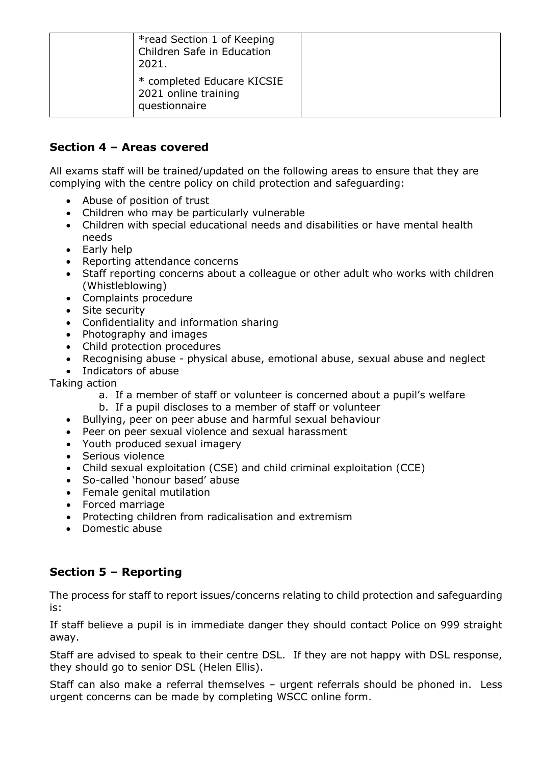| *read Section 1 of Keeping<br>Children Safe in Education<br>2021.   |  |
|---------------------------------------------------------------------|--|
| * completed Educare KICSIE<br>2021 online training<br>questionnaire |  |

# **Section 4 – Areas covered**

All exams staff will be trained/updated on the following areas to ensure that they are complying with the centre policy on child protection and safeguarding:

- Abuse of position of trust
- Children who may be particularly vulnerable
- Children with special educational needs and disabilities or have mental health needs
- Early help
- Reporting attendance concerns
- Staff reporting concerns about a colleague or other adult who works with children (Whistleblowing)
- Complaints procedure
- Site security
- Confidentiality and information sharing
- Photography and images
- Child protection procedures
- Recognising abuse physical abuse, emotional abuse, sexual abuse and neglect
- Indicators of abuse

Taking action

- a. If a member of staff or volunteer is concerned about a pupil's welfare
- b. If a pupil discloses to a member of staff or volunteer
- Bullying, peer on peer abuse and harmful sexual behaviour
- Peer on peer sexual violence and sexual harassment
- Youth produced sexual imagery
- Serious violence
- Child sexual exploitation (CSE) and child criminal exploitation (CCE)
- So-called 'honour based' abuse
- Female genital mutilation
- Forced marriage
- Protecting children from radicalisation and extremism
- Domestic abuse

# **Section 5 – Reporting**

The process for staff to report issues/concerns relating to child protection and safeguarding is:

If staff believe a pupil is in immediate danger they should contact Police on 999 straight away.

Staff are advised to speak to their centre DSL. If they are not happy with DSL response, they should go to senior DSL (Helen Ellis).

Staff can also make a referral themselves – urgent referrals should be phoned in. Less urgent concerns can be made by completing WSCC online form.